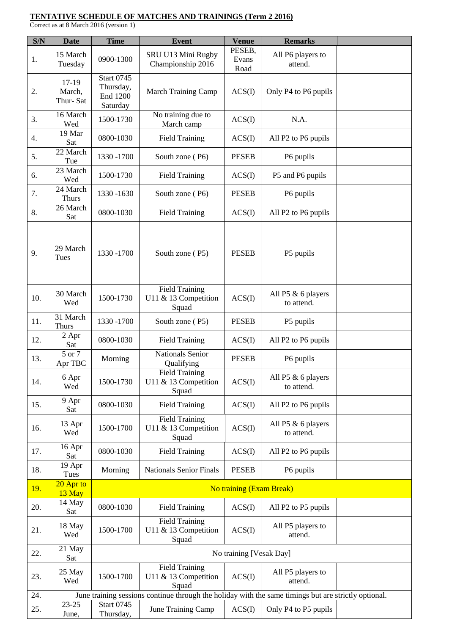## **TENTATIVE SCHEDULE OF MATCHES AND TRAININGS (Term 2 2016)**

Correct as at 8 March 2016 (version 1)

| S/N | <b>Date</b>                  | <b>Time</b>                                                                                          | <b>Event</b>                                           | <b>Venue</b>            | <b>Remarks</b>                   |  |  |  |  |
|-----|------------------------------|------------------------------------------------------------------------------------------------------|--------------------------------------------------------|-------------------------|----------------------------------|--|--|--|--|
| 1.  | 15 March<br>Tuesday          | 0900-1300                                                                                            | SRU U13 Mini Rugby<br>Championship 2016                | PESEB,<br>Evans<br>Road | All P6 players to<br>attend.     |  |  |  |  |
| 2.  | 17-19<br>March,<br>Thur-Sat  | <b>Start 0745</b><br>Thursday,<br><b>End 1200</b><br>Saturday                                        | <b>March Training Camp</b>                             | ACS(I)                  | Only P4 to P6 pupils             |  |  |  |  |
| 3.  | 16 March<br>Wed              | 1500-1730                                                                                            | No training due to<br>March camp                       | ACS(I)                  | N.A.                             |  |  |  |  |
| 4.  | 19 Mar<br>Sat                | 0800-1030                                                                                            | <b>Field Training</b>                                  | ACS(I)                  | All P2 to P6 pupils              |  |  |  |  |
| 5.  | 22 March<br>Tue              | 1330 - 1700                                                                                          | South zone (P6)                                        | <b>PESEB</b>            | P6 pupils                        |  |  |  |  |
| 6.  | 23 March<br>Wed              | 1500-1730                                                                                            | <b>Field Training</b>                                  | ACS(I)                  | P5 and P6 pupils                 |  |  |  |  |
| 7.  | 24 March<br><b>Thurs</b>     | 1330 -1630                                                                                           | South zone (P6)                                        | <b>PESEB</b>            | P6 pupils                        |  |  |  |  |
| 8.  | $\overline{26}$ March<br>Sat | 0800-1030                                                                                            | <b>Field Training</b>                                  | ACS(I)                  | All P2 to P6 pupils              |  |  |  |  |
| 9.  | 29 March<br>Tues             | 1330 - 1700                                                                                          | South zone (P5)                                        | <b>PESEB</b>            | P5 pupils                        |  |  |  |  |
| 10. | 30 March<br>Wed              | 1500-1730                                                                                            | <b>Field Training</b><br>U11 & 13 Competition<br>Squad | ACS(I)                  | All P5 & 6 players<br>to attend. |  |  |  |  |
| 11. | 31 March<br><b>Thurs</b>     | 1330 - 1700                                                                                          | South zone (P5)                                        | <b>PESEB</b>            | P5 pupils                        |  |  |  |  |
| 12. | 2 Apr<br>Sat                 | 0800-1030                                                                                            | <b>Field Training</b>                                  | ACS(I)                  | All P2 to P6 pupils              |  |  |  |  |
| 13. | 5 or 7<br>Apr TBC            | Morning                                                                                              | <b>Nationals Senior</b><br>Qualifying                  | <b>PESEB</b>            | P6 pupils                        |  |  |  |  |
| 14. | 6 Apr<br>Wed                 | 1500-1730                                                                                            | <b>Field Training</b><br>U11 & 13 Competition<br>Squad | ACS(I)                  | All P5 & 6 players<br>to attend. |  |  |  |  |
| 15. | 9 Apr<br>Sat                 | 0800-1030                                                                                            | <b>Field Training</b>                                  | ACS(I)                  | All P2 to P6 pupils              |  |  |  |  |
| 16. | 13 Apr<br>Wed                | 1500-1700                                                                                            | <b>Field Training</b><br>U11 & 13 Competition<br>Squad | ACS(I)                  | All P5 & 6 players<br>to attend. |  |  |  |  |
| 17. | 16 Apr<br>Sat                | 0800-1030                                                                                            | <b>Field Training</b>                                  | ACS(I)                  | All P2 to P6 pupils              |  |  |  |  |
| 18. | 19 Apr<br>Tues               | Morning                                                                                              | <b>Nationals Senior Finals</b>                         | <b>PESEB</b>            | P6 pupils                        |  |  |  |  |
| 19. | 20 Apr to<br>13 May          | No training (Exam Break)                                                                             |                                                        |                         |                                  |  |  |  |  |
| 20. | 14 May<br>Sat                | 0800-1030                                                                                            | <b>Field Training</b>                                  | ACS(I)                  | All P2 to P5 pupils              |  |  |  |  |
| 21. | 18 May<br>Wed                | 1500-1700                                                                                            | <b>Field Training</b><br>U11 & 13 Competition<br>Squad | ACS(I)                  | All P5 players to<br>attend.     |  |  |  |  |
| 22. | 21 May<br>Sat                | No training [Vesak Day]                                                                              |                                                        |                         |                                  |  |  |  |  |
| 23. | 25 May<br>Wed                | 1500-1700                                                                                            | <b>Field Training</b><br>U11 & 13 Competition<br>Squad | ACS(I)                  | All P5 players to<br>attend.     |  |  |  |  |
| 24. |                              | June training sessions continue through the holiday with the same timings but are strictly optional. |                                                        |                         |                                  |  |  |  |  |
| 25. | $23 - 25$<br>June,           | <b>Start 0745</b><br>Thursday,                                                                       | June Training Camp                                     | ACS(I)                  | Only P4 to P5 pupils             |  |  |  |  |